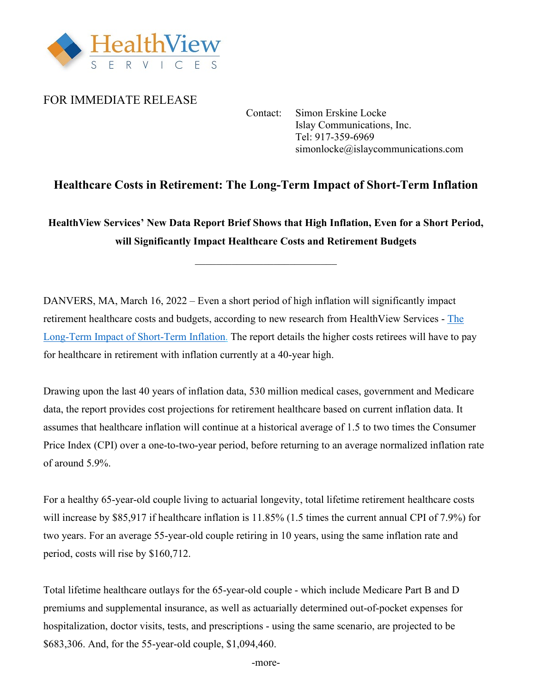

## FOR IMMEDIATE RELEASE

 Contact: Simon Erskine Locke Islay Communications, Inc. Tel: 917-359-6969 simonlocke@islaycommunications.com

## **Healthcare Costs in Retirement: The Long-Term Impact of Short-Term Inflation**

**HealthView Services' New Data Report Brief Shows that High Inflation, Even for a Short Period, will Significantly Impact Healthcare Costs and Retirement Budgets** 

DANVERS, MA, March 16, 2022 – Even a short period of high inflation will significantly impact retirement healthcare costs and budgets, according to new research from HealthView Services - [The](http://hvsfinancial.com/wp-content/uploads/2022/03/HVS-Data-Report-Brief-0312222.pdf)  Long-Term [Impact of Short-Term](http://hvsfinancial.com/wp-content/uploads/2022/03/HVS-Data-Report-Brief-0312222.pdf) Inflation. The report details the higher costs retirees will have to pay for healthcare in retirement with inflation currently at a 40-year high.

Drawing upon the last 40 years of inflation data, 530 million medical cases, government and Medicare data, the report provides cost projections for retirement healthcare based on current inflation data. It assumes that healthcare inflation will continue at a historical average of 1.5 to two times the Consumer Price Index (CPI) over a one-to-two-year period, before returning to an average normalized inflation rate of around 5.9%.

For a healthy 65-year-old couple living to actuarial longevity, total lifetime retirement healthcare costs will increase by \$85,917 if healthcare inflation is 11.85% (1.5 times the current annual CPI of 7.9%) for two years. For an average 55-year-old couple retiring in 10 years, using the same inflation rate and period, costs will rise by \$160,712.

Total lifetime healthcare outlays for the 65-year-old couple - which include Medicare Part B and D premiums and supplemental insurance, as well as actuarially determined out-of-pocket expenses for hospitalization, doctor visits, tests, and prescriptions - using the same scenario, are projected to be \$683,306. And, for the 55-year-old couple, \$1,094,460.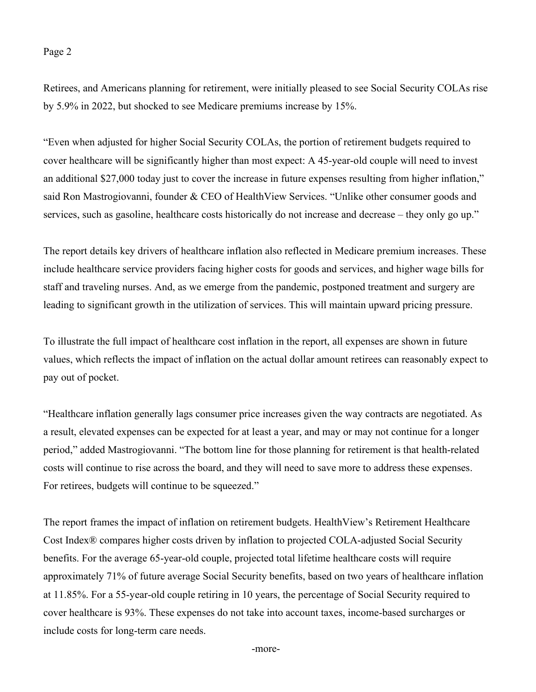## Page 2

Retirees, and Americans planning for retirement, were initially pleased to see Social Security COLAs rise by 5.9% in 2022, but shocked to see Medicare premiums increase by 15%.

"Even when adjusted for higher Social Security COLAs, the portion of retirement budgets required to cover healthcare will be significantly higher than most expect: A 45-year-old couple will need to invest an additional \$27,000 today just to cover the increase in future expenses resulting from higher inflation," said Ron Mastrogiovanni, founder & CEO of HealthView Services. "Unlike other consumer goods and services, such as gasoline, healthcare costs historically do not increase and decrease – they only go up."

The report details key drivers of healthcare inflation also reflected in Medicare premium increases. These include healthcare service providers facing higher costs for goods and services, and higher wage bills for staff and traveling nurses. And, as we emerge from the pandemic, postponed treatment and surgery are leading to significant growth in the utilization of services. This will maintain upward pricing pressure.

To illustrate the full impact of healthcare cost inflation in the report, all expenses are shown in future values, which reflects the impact of inflation on the actual dollar amount retirees can reasonably expect to pay out of pocket.

"Healthcare inflation generally lags consumer price increases given the way contracts are negotiated. As a result, elevated expenses can be expected for at least a year, and may or may not continue for a longer period," added Mastrogiovanni. "The bottom line for those planning for retirement is that health-related costs will continue to rise across the board, and they will need to save more to address these expenses. For retirees, budgets will continue to be squeezed."

The report frames the impact of inflation on retirement budgets. HealthView's Retirement Healthcare Cost Index® compares higher costs driven by inflation to projected COLA-adjusted Social Security benefits. For the average 65-year-old couple, projected total lifetime healthcare costs will require approximately 71% of future average Social Security benefits, based on two years of healthcare inflation at 11.85%. For a 55-year-old couple retiring in 10 years, the percentage of Social Security required to cover healthcare is 93%. These expenses do not take into account taxes, income-based surcharges or include costs for long-term care needs.